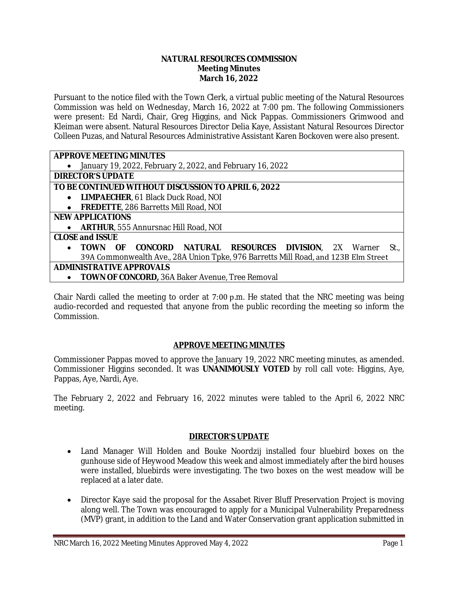#### **NATURAL RESOURCES COMMISSION Meeting Minutes March 16, 2022**

Pursuant to the notice filed with the Town Clerk, a virtual public meeting of the Natural Resources Commission was held on Wednesday, March 16, 2022 at 7:00 pm. The following Commissioners were present: Ed Nardi, Chair, Greg Higgins, and Nick Pappas. Commissioners Grimwood and Kleiman were absent. Natural Resources Director Delia Kaye, Assistant Natural Resources Director Colleen Puzas, and Natural Resources Administrative Assistant Karen Bockoven were also present.

# **APPROVE MEETING MINUTES**

January 19, 2022, February 2, 2022, and February 16, 2022

#### **DIRECTOR'S UPDATE**

# **TO BE CONTINUED WITHOUT DISCUSSION TO APRIL 6, 2022**

- **LIMPAECHER**, 61 Black Duck Road, NOI
- **FREDETTE**, 286 Barretts Mill Road, NOI

## **NEW APPLICATIONS**

**ARTHUR**, 555 Annursnac Hill Road, NOI

## **CLOSE and ISSUE**

- **TOWN OF CONCORD NATURAL RESOURCES DIVISION**, 2X Warner St., 39A Commonwealth Ave., 28A Union Tpke, 976 Barretts Mill Road, and 123B Elm Street **ADMINISTRATIVE APPROVALS**
	- **TOWN OF CONCORD,** 36A Baker Avenue, Tree Removal

Chair Nardi called the meeting to order at 7:00 p.m. He stated that the NRC meeting was being audio-recorded and requested that anyone from the public recording the meeting so inform the **Commission** 

## **APPROVE MEETING MINUTES**

Commissioner Pappas moved to approve the January 19, 2022 NRC meeting minutes, as amended. Commissioner Higgins seconded. It was **UNANIMOUSLY VOTED** by roll call vote: Higgins, Aye, Pappas, Aye, Nardi, Aye.

The February 2, 2022 and February 16, 2022 minutes were tabled to the April 6, 2022 NRC meeting.

## **DIRECTOR'S UPDATE**

- Land Manager Will Holden and Bouke Noordzij installed four bluebird boxes on the gunhouse side of Heywood Meadow this week and almost immediately after the bird houses were installed, bluebirds were investigating. The two boxes on the west meadow will be replaced at a later date.
- Director Kaye said the proposal for the Assabet River Bluff Preservation Project is moving along well. The Town was encouraged to apply for a Municipal Vulnerability Preparedness (MVP) grant, in addition to the Land and Water Conservation grant application submitted in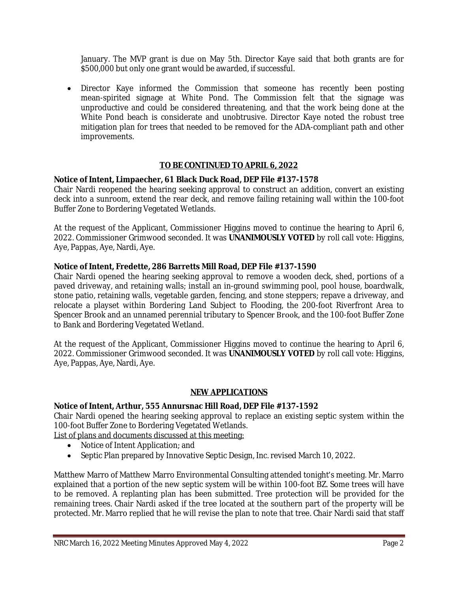January. The MVP grant is due on May 5th. Director Kaye said that both grants are for \$500,000 but only one grant would be awarded, if successful.

 Director Kaye informed the Commission that someone has recently been posting mean-spirited signage at White Pond. The Commission felt that the signage was unproductive and could be considered threatening, and that the work being done at the White Pond beach is considerate and unobtrusive. Director Kaye noted the robust tree mitigation plan for trees that needed to be removed for the ADA-compliant path and other improvements.

# **TO BE CONTINUED TO APRIL 6, 2022**

## **Notice of Intent, Limpaecher, 61 Black Duck Road, DEP File #137-1578**

Chair Nardi reopened the hearing seeking approval to construct an addition, convert an existing deck into a sunroom, extend the rear deck, and remove failing retaining wall within the 100-foot Buffer Zone to Bordering Vegetated Wetlands.

At the request of the Applicant, Commissioner Higgins moved to continue the hearing to April 6, 2022. Commissioner Grimwood seconded. It was **UNANIMOUSLY VOTED** by roll call vote: Higgins, Aye, Pappas, Aye, Nardi, Aye.

## **Notice of Intent, Fredette, 286 Barretts Mill Road, DEP File #137-1590**

Chair Nardi opened the hearing seeking approval to remove a wooden deck, shed, portions of a paved driveway, and retaining walls; install an in-ground swimming pool, pool house, boardwalk, stone patio, retaining walls, vegetable garden, fencing, and stone steppers; repave a driveway, and relocate a playset within Bordering Land Subject to Flooding, the 200-foot Riverfront Area to Spencer Brook and an unnamed perennial tributary to Spencer Brook, and the 100-foot Buffer Zone to Bank and Bordering Vegetated Wetland.

At the request of the Applicant, Commissioner Higgins moved to continue the hearing to April 6, 2022. Commissioner Grimwood seconded. It was **UNANIMOUSLY VOTED** by roll call vote: Higgins, Aye, Pappas, Aye, Nardi, Aye.

## **NEW APPLICATIONS**

## **Notice of Intent, Arthur, 555 Annursnac Hill Road, DEP File #137-1592**

Chair Nardi opened the hearing seeking approval to replace an existing septic system within the 100-foot Buffer Zone to Bordering Vegetated Wetlands.

List of plans and documents discussed at this meeting:

- Notice of Intent Application; and
- Septic Plan prepared by Innovative Septic Design, Inc. revised March 10, 2022.

Matthew Marro of Matthew Marro Environmental Consulting attended tonight's meeting. Mr. Marro explained that a portion of the new septic system will be within 100-foot BZ. Some trees will have to be removed. A replanting plan has been submitted. Tree protection will be provided for the remaining trees. Chair Nardi asked if the tree located at the southern part of the property will be protected. Mr. Marro replied that he will revise the plan to note that tree. Chair Nardi said that staff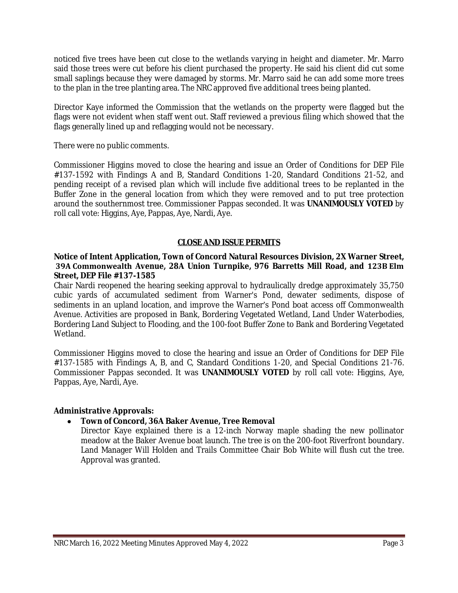noticed five trees have been cut close to the wetlands varying in height and diameter. Mr. Marro said those trees were cut before his client purchased the property. He said his client did cut some small saplings because they were damaged by storms. Mr. Marro said he can add some more trees to the plan in the tree planting area. The NRC approved five additional trees being planted.

Director Kaye informed the Commission that the wetlands on the property were flagged but the flags were not evident when staff went out. Staff reviewed a previous filing which showed that the flags generally lined up and reflagging would not be necessary.

There were no public comments.

Commissioner Higgins moved to close the hearing and issue an Order of Conditions for DEP File #137-1592 with Findings A and B, Standard Conditions 1-20, Standard Conditions 21-52, and pending receipt of a revised plan which will include five additional trees to be replanted in the Buffer Zone in the general location from which they were removed and to put tree protection around the southernmost tree. Commissioner Pappas seconded. It was **UNANIMOUSLY VOTED** by roll call vote: Higgins, Aye, Pappas, Aye, Nardi, Aye.

#### **CLOSE AND ISSUE PERMITS**

#### **Notice of Intent Application, Town of Concord Natural Resources Division, 2X Warner Street, 39A Commonwealth Avenue, 28A Union Turnpike, 976 Barretts Mill Road, and 123B Elm Street, DEP File #137-1585**

Chair Nardi reopened the hearing seeking approval to hydraulically dredge approximately 35,750 cubic yards of accumulated sediment from Warner's Pond, dewater sediments, dispose of sediments in an upland location, and improve the Warner's Pond boat access off Commonwealth Avenue. Activities are proposed in Bank, Bordering Vegetated Wetland, Land Under Waterbodies, Bordering Land Subject to Flooding, and the 100-foot Buffer Zone to Bank and Bordering Vegetated Wetland.

Commissioner Higgins moved to close the hearing and issue an Order of Conditions for DEP File #137-1585 with Findings A, B, and C, Standard Conditions 1-20, and Special Conditions 21-76. Commissioner Pappas seconded. It was **UNANIMOUSLY VOTED** by roll call vote: Higgins, Aye, Pappas, Aye, Nardi, Aye.

## **Administrative Approvals:**

## **Town of Concord, 36A Baker Avenue, Tree Removal**

Director Kaye explained there is a 12-inch Norway maple shading the new pollinator meadow at the Baker Avenue boat launch. The tree is on the 200-foot Riverfront boundary. Land Manager Will Holden and Trails Committee Chair Bob White will flush cut the tree. Approval was granted.